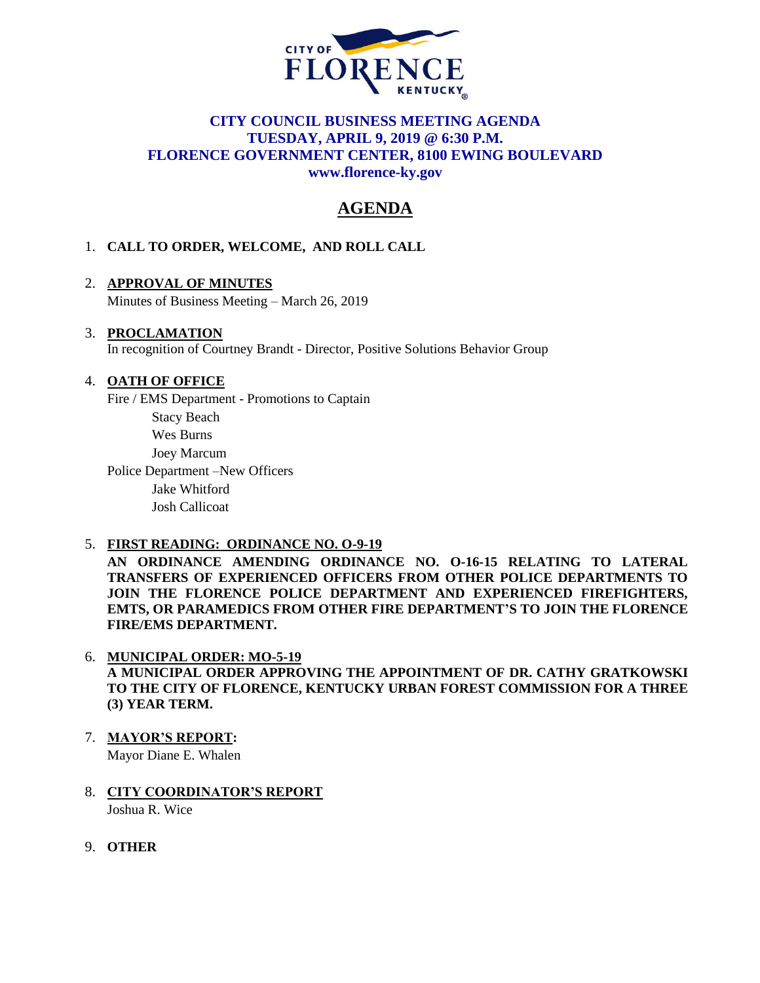

## **CITY COUNCIL BUSINESS MEETING AGENDA TUESDAY, APRIL 9, 2019 @ 6:30 P.M. FLORENCE GOVERNMENT CENTER, 8100 EWING BOULEVARD [www.florence-ky.gov](http://www.florence-ky.gov/)**

# **AGENDA**

## 1. **CALL TO ORDER, WELCOME, AND ROLL CALL**

## 2. **APPROVAL OF MINUTES**

Minutes of Business Meeting – March 26, 2019

#### 3. **PROCLAMATION**

In recognition of Courtney Brandt - Director, Positive Solutions Behavior Group

#### 4. **OATH OF OFFICE**

Fire / EMS Department - Promotions to Captain

Stacy Beach Wes Burns

Joey Marcum

Police Department –New Officers Jake Whitford

Josh Callicoat

#### 5. **FIRST READING: ORDINANCE NO. O-9-19**

**AN ORDINANCE AMENDING ORDINANCE NO. O-16-15 RELATING TO LATERAL TRANSFERS OF EXPERIENCED OFFICERS FROM OTHER POLICE DEPARTMENTS TO JOIN THE FLORENCE POLICE DEPARTMENT AND EXPERIENCED FIREFIGHTERS, EMTS, OR PARAMEDICS FROM OTHER FIRE DEPARTMENT'S TO JOIN THE FLORENCE FIRE/EMS DEPARTMENT.**

## 6. **MUNICIPAL ORDER: MO-5-19**

**A MUNICIPAL ORDER APPROVING THE APPOINTMENT OF DR. CATHY GRATKOWSKI TO THE CITY OF FLORENCE, KENTUCKY URBAN FOREST COMMISSION FOR A THREE (3) YEAR TERM.**

- 7. **MAYOR'S REPORT:** Mayor Diane E. Whalen
- 8. **CITY COORDINATOR'S REPORT** Joshua R. Wice
- 9. **OTHER**